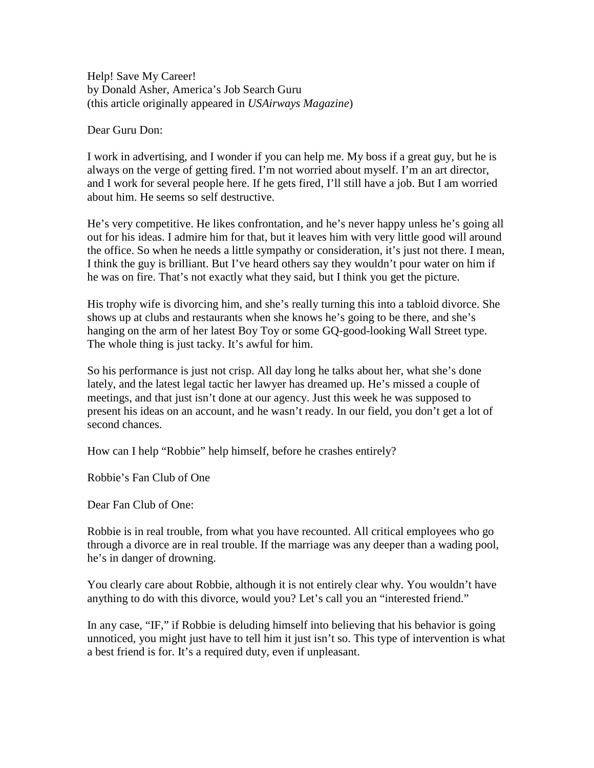Help! Save My Career! by Donald Asher, America's Job Search Guru (this article originally appeared in *USAirways Magazine*)

Dear Guru Don:

I work in advertising, and I wonder if you can help me. My boss if a great guy, but he is always on the verge of getting fired. I'm not worried about myself. I'm an art director, and I work for several people here. If he gets fired, I'll still have a job. But I am worried about him. He seems so self destructive.

He's very competitive. He likes confrontation, and he's never happy unless he's going all out for his ideas. I admire him for that, but it leaves him with very little good will around the office. So when he needs a little sympathy or consideration, it's just not there. I mean, I think the guy is brilliant. But I've heard others say they wouldn't pour water on him if he was on fire. That's not exactly what they said, but I think you get the picture.

His trophy wife is divorcing him, and she's really turning this into a tabloid divorce. She shows up at clubs and restaurants when she knows he's going to be there, and she's hanging on the arm of her latest Boy Toy or some GQ-good-looking Wall Street type. The whole thing is just tacky. It's awful for him.

So his performance is just not crisp. All day long he talks about her, what she's done lately, and the latest legal tactic her lawyer has dreamed up. He's missed a couple of meetings, and that just isn't done at our agency. Just this week he was supposed to present his ideas on an account, and he wasn't ready. In our field, you don't get a lot of second chances.

How can I help "Robbie" help himself, before he crashes entirely?

Robbie's Fan Club of One

Dear Fan Club of One:

Robbie is in real trouble, from what you have recounted. All critical employees who go through a divorce are in real trouble. If the marriage was any deeper than a wading pool, he's in danger of drowning.

You clearly care about Robbie, although it is not entirely clear why. You wouldn't have anything to do with this divorce, would you? Let's call you an "interested friend."

In any case, "IF," if Robbie is deluding himself into believing that his behavior is going unnoticed, you might just have to tell him it just isn't so. This type of intervention is what a best friend is for. It's a required duty, even if unpleasant.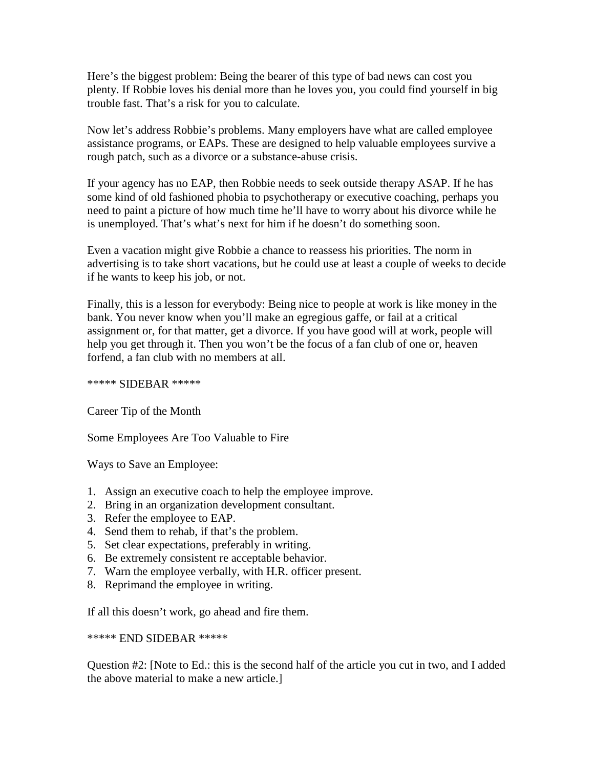Here's the biggest problem: Being the bearer of this type of bad news can cost you plenty. If Robbie loves his denial more than he loves you, you could find yourself in big trouble fast. That's a risk for you to calculate.

Now let's address Robbie's problems. Many employers have what are called employee assistance programs, or EAPs. These are designed to help valuable employees survive a rough patch, such as a divorce or a substance-abuse crisis.

If your agency has no EAP, then Robbie needs to seek outside therapy ASAP. If he has some kind of old fashioned phobia to psychotherapy or executive coaching, perhaps you need to paint a picture of how much time he'll have to worry about his divorce while he is unemployed. That's what's next for him if he doesn't do something soon.

Even a vacation might give Robbie a chance to reassess his priorities. The norm in advertising is to take short vacations, but he could use at least a couple of weeks to decide if he wants to keep his job, or not.

Finally, this is a lesson for everybody: Being nice to people at work is like money in the bank. You never know when you'll make an egregious gaffe, or fail at a critical assignment or, for that matter, get a divorce. If you have good will at work, people will help you get through it. Then you won't be the focus of a fan club of one or, heaven forfend, a fan club with no members at all.

\*\*\*\*\* SIDEBAR \*\*\*\*\*

Career Tip of the Month

Some Employees Are Too Valuable to Fire

Ways to Save an Employee:

- 1. Assign an executive coach to help the employee improve.
- 2. Bring in an organization development consultant.
- 3. Refer the employee to EAP.
- 4. Send them to rehab, if that's the problem.
- 5. Set clear expectations, preferably in writing.
- 6. Be extremely consistent re acceptable behavior.
- 7. Warn the employee verbally, with H.R. officer present.
- 8. Reprimand the employee in writing.

If all this doesn't work, go ahead and fire them.

## \*\*\*\*\* END SIDEBAR \*\*\*\*\*

Question #2: [Note to Ed.: this is the second half of the article you cut in two, and I added the above material to make a new article.]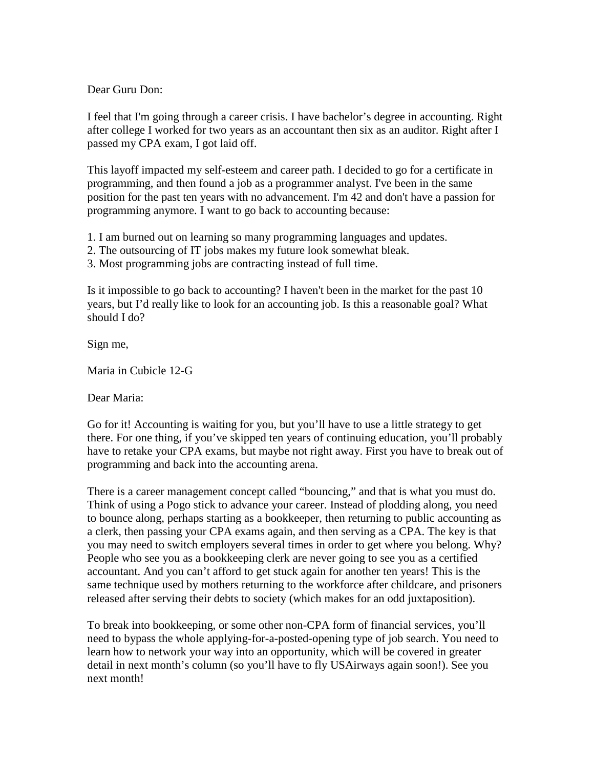Dear Guru Don:

I feel that I'm going through a career crisis. I have bachelor's degree in accounting. Right after college I worked for two years as an accountant then six as an auditor. Right after I passed my CPA exam, I got laid off.

This layoff impacted my self-esteem and career path. I decided to go for a certificate in programming, and then found a job as a programmer analyst. I've been in the same position for the past ten years with no advancement. I'm 42 and don't have a passion for programming anymore. I want to go back to accounting because:

1. I am burned out on learning so many programming languages and updates.

- 2. The outsourcing of IT jobs makes my future look somewhat bleak.
- 3. Most programming jobs are contracting instead of full time.

Is it impossible to go back to accounting? I haven't been in the market for the past 10 years, but I'd really like to look for an accounting job. Is this a reasonable goal? What should I do?

Sign me,

Maria in Cubicle 12-G

Dear Maria:

Go for it! Accounting is waiting for you, but you'll have to use a little strategy to get there. For one thing, if you've skipped ten years of continuing education, you'll probably have to retake your CPA exams, but maybe not right away. First you have to break out of programming and back into the accounting arena.

There is a career management concept called "bouncing," and that is what you must do. Think of using a Pogo stick to advance your career. Instead of plodding along, you need to bounce along, perhaps starting as a bookkeeper, then returning to public accounting as a clerk, then passing your CPA exams again, and then serving as a CPA. The key is that you may need to switch employers several times in order to get where you belong. Why? People who see you as a bookkeeping clerk are never going to see you as a certified accountant. And you can't afford to get stuck again for another ten years! This is the same technique used by mothers returning to the workforce after childcare, and prisoners released after serving their debts to society (which makes for an odd juxtaposition).

To break into bookkeeping, or some other non-CPA form of financial services, you'll need to bypass the whole applying-for-a-posted-opening type of job search. You need to learn how to network your way into an opportunity, which will be covered in greater detail in next month's column (so you'll have to fly USAirways again soon!). See you next month!